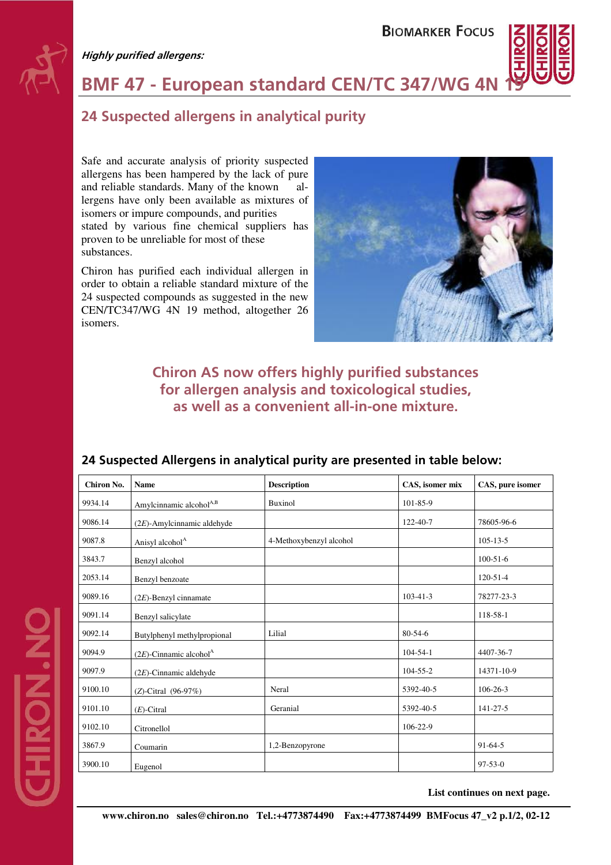#### **Highly purified allergens:**

**DZ:NOVF** 

## **BIOMARKER FOCUS**

**BMF 47 - European standard CEN/TC 347/WG 4N** 

# **24 Suspected allergens in analytical purity**

Safe and accurate analysis of priority suspected allergens has been hampered by the lack of pure and reliable standards. Many of the known allergens have only been available as mixtures of isomers or impure compounds, and purities stated by various fine chemical suppliers has proven to be unreliable for most of these substances.

Chiron has purified each individual allergen in order to obtain a reliable standard mixture of the 24 suspected compounds as suggested in the new CEN/TC347/WG 4N 19 method, altogether 26 isomers.



## **Chiron AS now offers highly purified substances for allergen analysis and toxicological studies, as well as a convenient all-in-one mixture.**

| Chiron No. | <b>Name</b>                           | <b>Description</b>      | CAS, isomer mix | CAS, pure isomer |
|------------|---------------------------------------|-------------------------|-----------------|------------------|
| 9934.14    | Amylcinnamic alcohol <sup>A,B</sup>   | <b>Buxinol</b>          | 101-85-9        |                  |
| 9086.14    | $(2E)$ -Amylcinnamic aldehyde         |                         | 122-40-7        | 78605-96-6       |
| 9087.8     | Anisyl alcohol <sup>A</sup>           | 4-Methoxybenzyl alcohol |                 | $105 - 13 - 5$   |
| 3843.7     | Benzyl alcohol                        |                         |                 | $100 - 51 - 6$   |
| 2053.14    | Benzyl benzoate                       |                         |                 | $120 - 51 - 4$   |
| 9089.16    | $(2E)$ -Benzyl cinnamate              |                         | $103 - 41 - 3$  | 78277-23-3       |
| 9091.14    | Benzyl salicylate                     |                         |                 | 118-58-1         |
| 9092.14    | Butylphenyl methylpropional           | Lilial                  | 80-54-6         |                  |
| 9094.9     | $(2E)$ -Cinnamic alcohol <sup>A</sup> |                         | $104 - 54 - 1$  | 4407-36-7        |
| 9097.9     | $(2E)$ -Cinnamic aldehyde             |                         | $104 - 55 - 2$  | 14371-10-9       |
| 9100.10    | (Z)-Citral (96-97%)                   | Neral                   | 5392-40-5       | $106 - 26 - 3$   |
| 9101.10    | $(E)$ -Citral                         | Geranial                | 5392-40-5       | 141-27-5         |
| 9102.10    | Citronellol                           |                         | $106 - 22 - 9$  |                  |
| 3867.9     | Coumarin                              | 1,2-Benzopyrone         |                 | $91-64-5$        |
| 3900.10    | Eugenol                               |                         |                 | $97 - 53 - 0$    |

## **24 Suspected Allergens in analytical purity are presented in table below:**

**List continues on next page.**